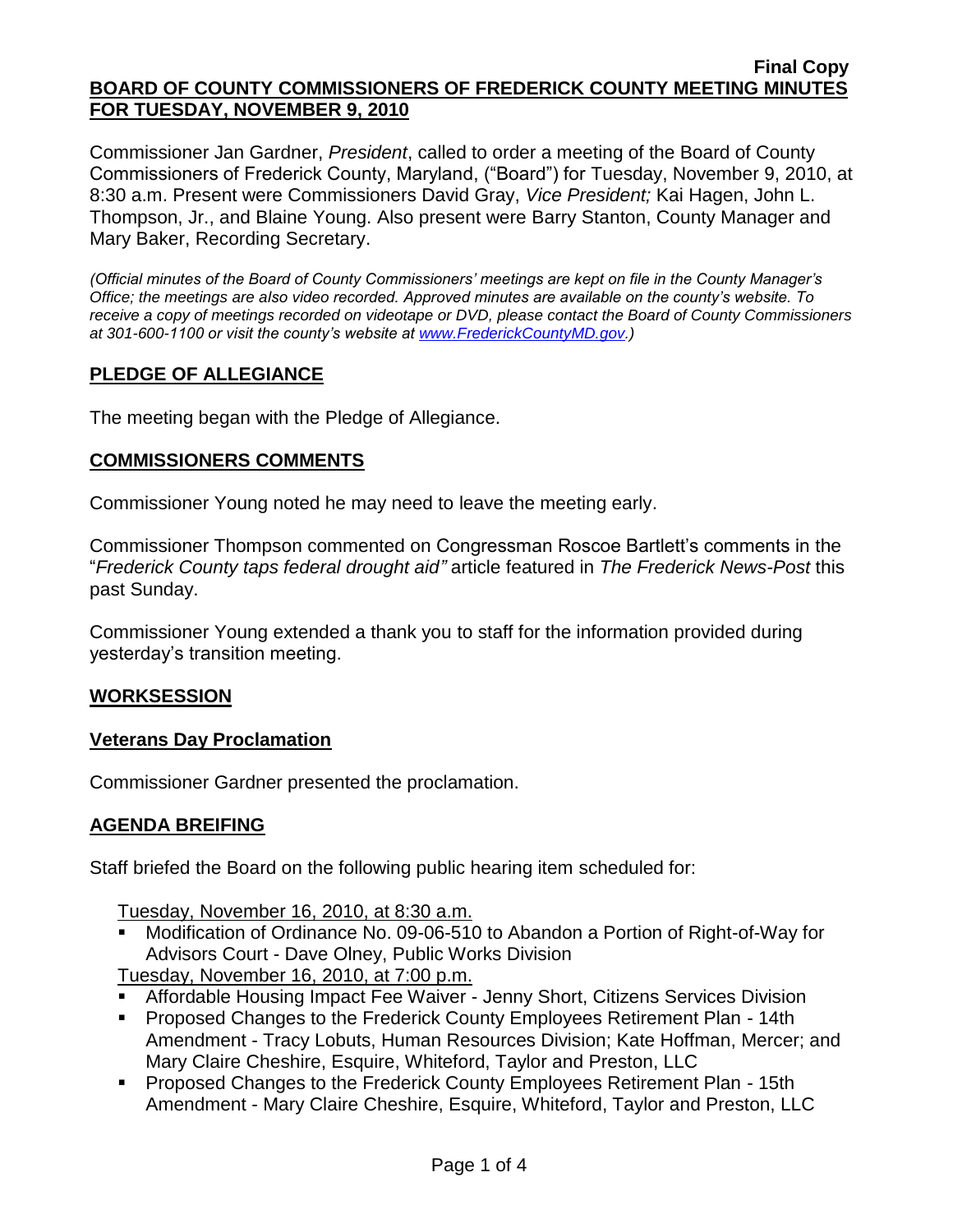#### **Final Copy BOARD OF COUNTY COMMISSIONERS OF FREDERICK COUNTY MEETING MINUTES FOR TUESDAY, NOVEMBER 9, 2010**

Commissioner Jan Gardner, *President*, called to order a meeting of the Board of County Commissioners of Frederick County, Maryland, ("Board") for Tuesday, November 9, 2010, at 8:30 a.m. Present were Commissioners David Gray, *Vice President;* Kai Hagen, John L. Thompson, Jr., and Blaine Young. Also present were Barry Stanton, County Manager and Mary Baker, Recording Secretary.

*(Official minutes of the Board of County Commissioners' meetings are kept on file in the County Manager's Office; the meetings are also video recorded. Approved minutes are available on the county's website. To receive a copy of meetings recorded on videotape or DVD, please contact the Board of County Commissioners at 301-600-1100 or visit the county's website at [www.FrederickCountyMD.gov.](http://www.frederickcountymd.gov/))*

# **PLEDGE OF ALLEGIANCE**

The meeting began with the Pledge of Allegiance.

## **COMMISSIONERS COMMENTS**

Commissioner Young noted he may need to leave the meeting early.

Commissioner Thompson commented on Congressman Roscoe Bartlett's comments in the "*Frederick County taps federal drought aid"* article featured in *The Frederick News-Post* this past Sunday.

Commissioner Young extended a thank you to staff for the information provided during yesterday's transition meeting.

## **WORKSESSION**

## **Veterans Day Proclamation**

Commissioner Gardner presented the proclamation.

## **AGENDA BREIFING**

Staff briefed the Board on the following public hearing item scheduled for:

Tuesday, November 16, 2010, at 8:30 a.m.

 Modification of Ordinance No. 09-06-510 to Abandon a Portion of Right-of-Way for Advisors Court - Dave Olney, Public Works Division

Tuesday, November 16, 2010, at 7:00 p.m.

- Affordable Housing Impact Fee Waiver Jenny Short, Citizens Services Division
- **Proposed Changes to the Frederick County Employees Retirement Plan 14th** Amendment - Tracy Lobuts, Human Resources Division; Kate Hoffman, Mercer; and Mary Claire Cheshire, Esquire, Whiteford, Taylor and Preston, LLC
- **Proposed Changes to the Frederick County Employees Retirement Plan 15th** Amendment - Mary Claire Cheshire, Esquire, Whiteford, Taylor and Preston, LLC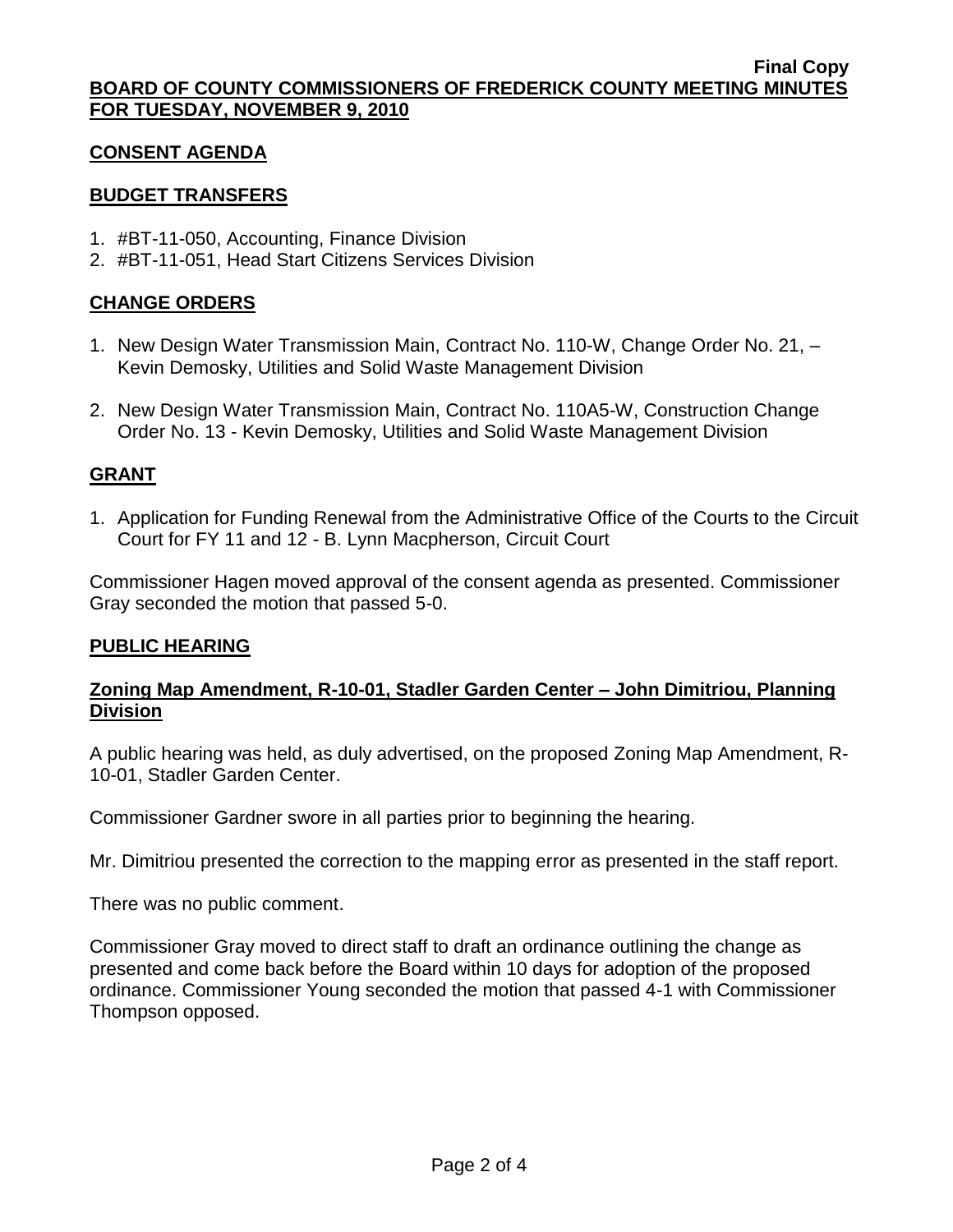## **CONSENT AGENDA**

# **BUDGET TRANSFERS**

- 1. #BT-11-050, Accounting, Finance Division
- 2. #BT-11-051, Head Start Citizens Services Division

# **CHANGE ORDERS**

- 1. New Design Water Transmission Main, Contract No. 110-W, Change Order No. 21, Kevin Demosky, Utilities and Solid Waste Management Division
- 2. New Design Water Transmission Main, Contract No. 110A5-W, Construction Change Order No. 13 - Kevin Demosky, Utilities and Solid Waste Management Division

# **GRANT**

1. Application for Funding Renewal from the Administrative Office of the Courts to the Circuit Court for FY 11 and 12 - B. Lynn Macpherson, Circuit Court

Commissioner Hagen moved approval of the consent agenda as presented. Commissioner Gray seconded the motion that passed 5-0.

## **PUBLIC HEARING**

# **Zoning Map Amendment, R-10-01, Stadler Garden Center – John Dimitriou, Planning Division**

A public hearing was held, as duly advertised, on the proposed Zoning Map Amendment, R-10-01, Stadler Garden Center.

Commissioner Gardner swore in all parties prior to beginning the hearing.

Mr. Dimitriou presented the correction to the mapping error as presented in the staff report.

There was no public comment.

Commissioner Gray moved to direct staff to draft an ordinance outlining the change as presented and come back before the Board within 10 days for adoption of the proposed ordinance. Commissioner Young seconded the motion that passed 4-1 with Commissioner Thompson opposed.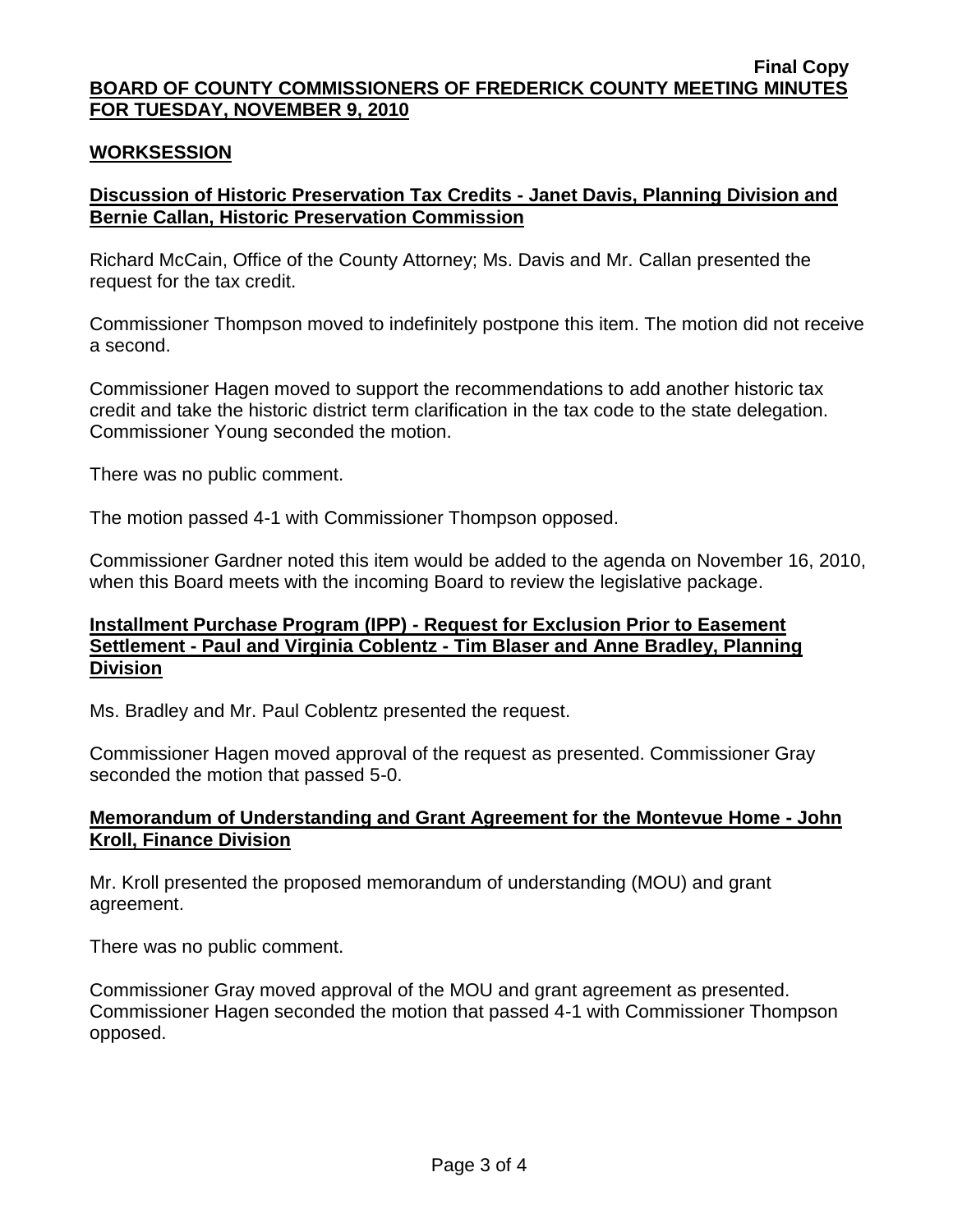#### **Final Copy BOARD OF COUNTY COMMISSIONERS OF FREDERICK COUNTY MEETING MINUTES FOR TUESDAY, NOVEMBER 9, 2010**

## **WORKSESSION**

# **Discussion of Historic Preservation Tax Credits - Janet Davis, Planning Division and Bernie Callan, Historic Preservation Commission**

Richard McCain, Office of the County Attorney; Ms. Davis and Mr. Callan presented the request for the tax credit.

Commissioner Thompson moved to indefinitely postpone this item. The motion did not receive a second.

Commissioner Hagen moved to support the recommendations to add another historic tax credit and take the historic district term clarification in the tax code to the state delegation. Commissioner Young seconded the motion.

There was no public comment.

The motion passed 4-1 with Commissioner Thompson opposed.

Commissioner Gardner noted this item would be added to the agenda on November 16, 2010, when this Board meets with the incoming Board to review the legislative package.

### **Installment Purchase Program (IPP) - Request for Exclusion Prior to Easement Settlement - Paul and Virginia Coblentz - Tim Blaser and Anne Bradley, Planning Division**

Ms. Bradley and Mr. Paul Coblentz presented the request.

Commissioner Hagen moved approval of the request as presented. Commissioner Gray seconded the motion that passed 5-0.

## **Memorandum of Understanding and Grant Agreement for the Montevue Home - John Kroll, Finance Division**

Mr. Kroll presented the proposed memorandum of understanding (MOU) and grant agreement.

There was no public comment.

Commissioner Gray moved approval of the MOU and grant agreement as presented. Commissioner Hagen seconded the motion that passed 4-1 with Commissioner Thompson opposed.